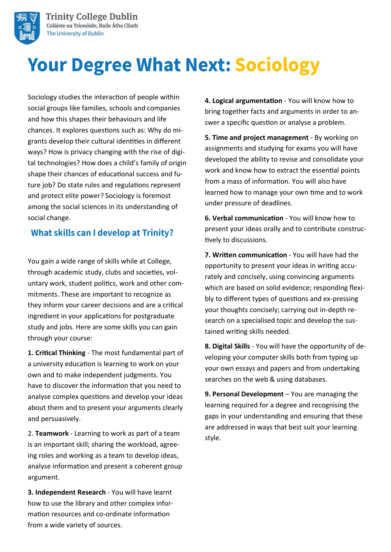

**Trinity College Dublin** Coláiste na Tríonóide, Baile Átha Cliath The University of Dublin

# **Your Degree What Next: Sociology**

Sociology studies the interaction of people within social groups like families, schools and companies and how this shapes their behaviours and life chances. It explores questions such as: Why do migrants develop their cultural identities in different ways? How is privacy changing with the rise of digital technologies? How does a child's family of origin shape their chances of educational success and future job? Do state rules and regulations represent and protect elite power? Sociology is foremost among the social sciences in its understanding of social change.

#### What skills can I develop at Trinity?

You gain a wide range of skills while at College, through academic study, clubs and societies, voluntary work, student politics, work and other commitments. These are important to recognize as they inform your career decisions and are a critical ingredient in your applications for postgraduate study and jobs. Here are some skills you can gain through your course:

**1. Critical Thinking** - The most fundamental part of a university education is learning to work on your own and to make independent judgments. You have to discover the information that you need to analyse complex questions and develop your ideas about them and to present your arguments clearly and persuasively.

2. **Teamwork** - Learning to work as part of a team is an important skill; sharing the workload, agreeing roles and working as a team to develop ideas, analyse information and present a coherent group argument.

**3. Independent Research** - You will have learnt how to use the library and other complex information resources and co-ordinate information from a wide variety of sources.

**4. Logical argumentation** - You will know how to bring together facts and arguments in order to answer a specific question or analyse a problem.

**5. Time and project management** - By working on assignments and studying for exams you will have developed the ability to revise and consolidate your work and know how to extract the essential points from a mass of information. You will also have learned how to manage your own time and to work under pressure of deadlines.

**6. Verbal communication** - You will know how to present your ideas orally and to contribute constructively to discussions.

**7. Written communication** - You will have had the opportunity to present your ideas in writing accurately and concisely, using convincing arguments which are based on solid evidence; responding flexibly to different types of questions and ex-pressing your thoughts concisely; carrying out in-depth research on a specialised topic and develop the sustained writing skills needed.

**8. Digital Skills** - You will have the opportunity of developing your computer skills both from typing up your own essays and papers and from undertaking searches on the web & using databases.

**9. Personal Development** – You are managing the learning required for a degree and recognising the gaps in your understanding and ensuring that these are addressed in ways that best suit your learning style.